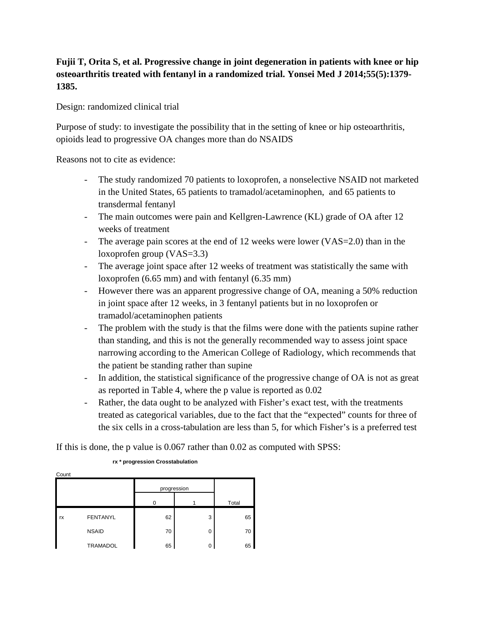## **Fujii T, Orita S, et al. Progressive change in joint degeneration in patients with knee or hip osteoarthritis treated with fentanyl in a randomized trial. Yonsei Med J 2014;55(5):1379- 1385.**

Design: randomized clinical trial

Purpose of study: to investigate the possibility that in the setting of knee or hip osteoarthritis, opioids lead to progressive OA changes more than do NSAIDS

Reasons not to cite as evidence:

- The study randomized 70 patients to loxoprofen, a nonselective NSAID not marketed in the United States, 65 patients to tramadol/acetaminophen, and 65 patients to transdermal fentanyl
- The main outcomes were pain and Kellgren-Lawrence (KL) grade of OA after 12 weeks of treatment
- The average pain scores at the end of 12 weeks were lower (VAS=2.0) than in the loxoprofen group (VAS=3.3)
- The average joint space after 12 weeks of treatment was statistically the same with loxoprofen (6.65 mm) and with fentanyl (6.35 mm)
- However there was an apparent progressive change of OA, meaning a 50% reduction in joint space after 12 weeks, in 3 fentanyl patients but in no loxoprofen or tramadol/acetaminophen patients
- The problem with the study is that the films were done with the patients supine rather than standing, and this is not the generally recommended way to assess joint space narrowing according to the American College of Radiology, which recommends that the patient be standing rather than supine
- In addition, the statistical significance of the progressive change of OA is not as great as reported in Table 4, where the p value is reported as 0.02
- Rather, the data ought to be analyzed with Fisher's exact test, with the treatments treated as categorical variables, due to the fact that the "expected" counts for three of the six cells in a cross-tabulation are less than 5, for which Fisher's is a preferred test

If this is done, the p value is 0.067 rather than 0.02 as computed with SPSS:

| Count |                 |             |          |       |  |  |  |
|-------|-----------------|-------------|----------|-------|--|--|--|
|       |                 | progression |          |       |  |  |  |
|       |                 | O           |          | Total |  |  |  |
| rx    | <b>FENTANYL</b> | 62          | 3        | 65    |  |  |  |
|       | <b>NSAID</b>    | 70          | $\Omega$ | 70    |  |  |  |
|       | <b>TRAMADOL</b> | 65          | 0        | 65    |  |  |  |
|       |                 |             |          |       |  |  |  |

## **rx \* progression Crosstabulation**